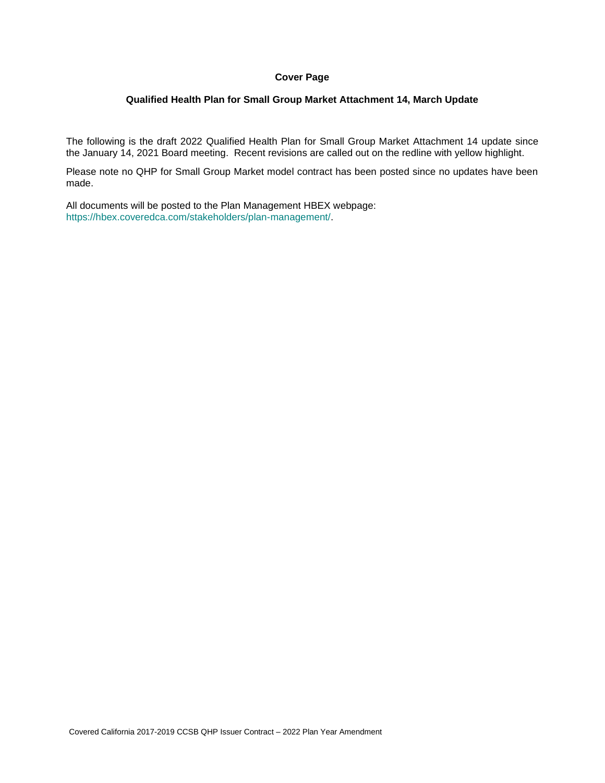## **Cover Page**

### **Qualified Health Plan for Small Group Market Attachment 14, March Update**

The following is the draft 2022 Qualified Health Plan for Small Group Market Attachment 14 update since the January 14, 2021 Board meeting. Recent revisions are called out on the redline with yellow highlight.

Please note no QHP for Small Group Market model contract has been posted since no updates have been made.

All documents will be posted to the Plan Management HBEX webpage: https://hbex.coveredca.com/stakeholders/plan-management/.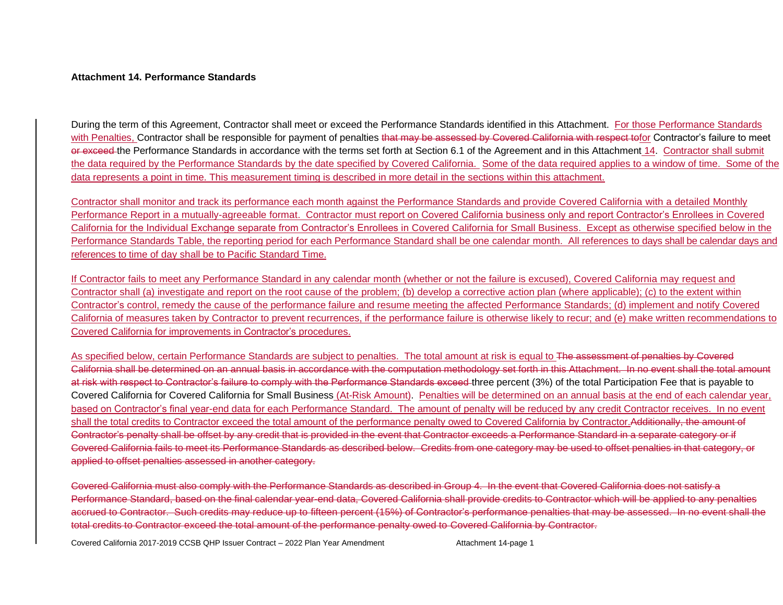#### **Attachment 14. Performance Standards**

During the term of this Agreement, Contractor shall meet or exceed the Performance Standards identified in this Attachment. For those Performance Standards with Penalties, Contractor shall be responsible for payment of penalties that may be assessed by Covered California with respect tofor Contractor's failure to meet or exceed the Performance Standards in accordance with the terms set forth at Section 6.1 of the Agreement and in this Attachment 14. Contractor shall submit the data required by the Performance Standards by the date specified by Covered California. Some of the data required applies to a window of time. Some of the data represents a point in time. This measurement timing is described in more detail in the sections within this attachment.

Contractor shall monitor and track its performance each month against the Performance Standards and provide Covered California with a detailed Monthly Performance Report in a mutually-agreeable format. Contractor must report on Covered California business only and report Contractor's Enrollees in Covered California for the Individual Exchange separate from Contractor's Enrollees in Covered California for Small Business. Except as otherwise specified below in the Performance Standards Table, the reporting period for each Performance Standard shall be one calendar month. All references to days shall be calendar days and references to time of day shall be to Pacific Standard Time.

If Contractor fails to meet any Performance Standard in any calendar month (whether or not the failure is excused), Covered California may request and Contractor shall (a) investigate and report on the root cause of the problem; (b) develop a corrective action plan (where applicable); (c) to the extent within Contractor's control, remedy the cause of the performance failure and resume meeting the affected Performance Standards; (d) implement and notify Covered California of measures taken by Contractor to prevent recurrences, if the performance failure is otherwise likely to recur; and (e) make written recommendations to Covered California for improvements in Contractor's procedures.

As specified below, certain Performance Standards are subject to penalties. The total amount at risk is equal to The assessment of penalties by Covered California shall be determined on an annual basis in accordance with the computation methodology set forth in this Attachment. In no event shall the total amount at risk with respect to Contractor's failure to comply with the Performance Standards exceed three percent (3%) of the total Participation Fee that is payable to Covered California for Covered California for Small Business (At-Risk Amount). Penalties will be determined on an annual basis at the end of each calendar year, based on Contractor's final year-end data for each Performance Standard. The amount of penalty will be reduced by any credit Contractor receives. In no event shall the total credits to Contractor exceed the total amount of the performance penalty owed to Covered California by Contractor.Additionally, the amount of Contractor's penalty shall be offset by any credit that is provided in the event that Contractor exceeds a Performance Standard in a separate category or if Covered California fails to meet its Performance Standards as described below. Credits from one category may be used to offset penalties in that category, or applied to offset penalties assessed in another category.

Covered California must also comply with the Performance Standards as described in Group 4. In the event that Covered California does not satisfy a Performance Standard, based on the final calendar year-end data, Covered California shall provide credits to Contractor which will be applied to any penalties accrued to Contractor. Such credits may reduce up to fifteen percent (15%) of Contractor's performance penalties that may be assessed. In no event shall the total credits to Contractor exceed the total amount of the performance penalty owed to Covered California by Contractor.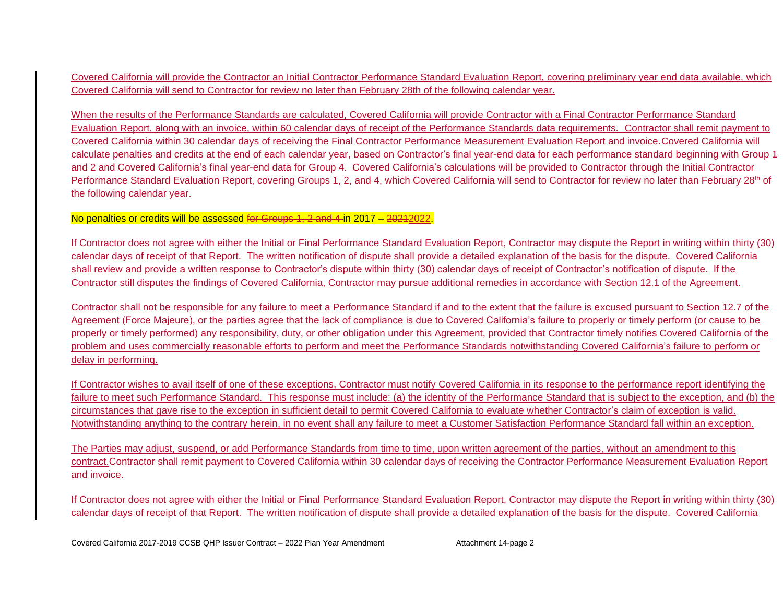Covered California will provide the Contractor an Initial Contractor Performance Standard Evaluation Report, covering preliminary year end data available, which Covered California will send to Contractor for review no later than February 28th of the following calendar year.

When the results of the Performance Standards are calculated, Covered California will provide Contractor with a Final Contractor Performance Standard Evaluation Report, along with an invoice, within 60 calendar days of receipt of the Performance Standards data requirements. Contractor shall remit payment to Covered California within 30 calendar days of receiving the Final Contractor Performance Measurement Evaluation Report and invoice.Covered California will calculate penalties and credits at the end of each calendar year, based on Contractor's final year-end data for each performance standard beginning with Group 1 and 2 and Covered California's final year-end data for Group 4. Covered California's calculations will be provided to Contractor through the Initial Contractor Performance Standard Evaluation Report, covering Groups 1, 2, and 4, which Covered California will send to Contractor for review no later than February 28<sup>th</sup> of the following calendar year.

No penalties or credits will be assessed for Groups 1, 2 and 4 in 2017 – 2021 2022.

If Contractor does not agree with either the Initial or Final Performance Standard Evaluation Report, Contractor may dispute the Report in writing within thirty (30) calendar days of receipt of that Report. The written notification of dispute shall provide a detailed explanation of the basis for the dispute. Covered California shall review and provide a written response to Contractor's dispute within thirty (30) calendar days of receipt of Contractor's notification of dispute. If the Contractor still disputes the findings of Covered California, Contractor may pursue additional remedies in accordance with Section 12.1 of the Agreement.

Contractor shall not be responsible for any failure to meet a Performance Standard if and to the extent that the failure is excused pursuant to Section 12.7 of the Agreement (Force Majeure), or the parties agree that the lack of compliance is due to Covered California's failure to properly or timely perform (or cause to be properly or timely performed) any responsibility, duty, or other obligation under this Agreement, provided that Contractor timely notifies Covered California of the problem and uses commercially reasonable efforts to perform and meet the Performance Standards notwithstanding Covered California's failure to perform or delay in performing.

If Contractor wishes to avail itself of one of these exceptions, Contractor must notify Covered California in its response to the performance report identifying the failure to meet such Performance Standard. This response must include: (a) the identity of the Performance Standard that is subject to the exception, and (b) the circumstances that gave rise to the exception in sufficient detail to permit Covered California to evaluate whether Contractor's claim of exception is valid. Notwithstanding anything to the contrary herein, in no event shall any failure to meet a Customer Satisfaction Performance Standard fall within an exception.

The Parties may adjust, suspend, or add Performance Standards from time to time, upon written agreement of the parties, without an amendment to this contract.Contractor shall remit payment to Covered California within 30 calendar days of receiving the Contractor Performance Measurement Evaluation Report and invoice.

If Contractor does not agree with either the Initial or Final Performance Standard Evaluation Report, Contractor may dispute the Report in writing within thirty (30) calendar days of receipt of that Report. The written notification of dispute shall provide a detailed explanation of the basis for the dispute. Covered California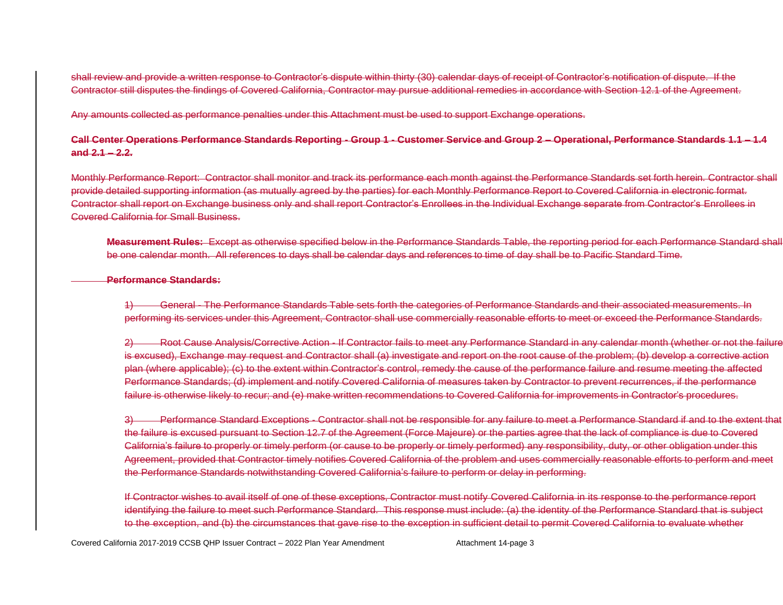shall review and provide a written response to Contractor's dispute within thirty (30) calendar days of receipt of Contractor's notification of dispute. If the Contractor still disputes the findings of Covered California, Contractor may pursue additional remedies in accordance with Section 12.1 of the Agreement.

Any amounts collected as performance penalties under this Attachment must be used to support Exchange operations.

## **Call Center Operations Performance Standards Reporting - Group 1 - Customer Service and Group 2 – Operational, Performance Standards 1.1 – 1.4 and 2.1 – 2.2.**

Monthly Performance Report: Contractor shall monitor and track its performance each month against the Performance Standards set forth herein. Contractor shall provide detailed supporting information (as mutually agreed by the parties) for each Monthly Performance Report to Covered California in electronic format. Contractor shall report on Exchange business only and shall report Contractor's Enrollees in the Individual Exchange separate from Contractor's Enrollees in Covered California for Small Business.

**Measurement Rules:** Except as otherwise specified below in the Performance Standards Table, the reporting period for each Performance Standard shall be one calendar month. All references to days shall be calendar days and references to time of day shall be to Pacific Standard Time.

#### **Performance Standards:**

1) General - The Performance Standards Table sets forth the categories of Performance Standards and their associated measurements. In performing its services under this Agreement, Contractor shall use commercially reasonable efforts to meet or exceed the Performance Standards.

2) Root Cause Analysis/Corrective Action - If Contractor fails to meet any Performance Standard in any calendar month (whether or not the failure is excused), Exchange may request and Contractor shall (a) investigate and report on the root cause of the problem; (b) develop a corrective action plan (where applicable); (c) to the extent within Contractor's control, remedy the cause of the performance failure and resume meeting the affected Performance Standards; (d) implement and notify Covered California of measures taken by Contractor to prevent recurrences, if the performance failure is otherwise likely to recur; and (e) make written recommendations to Covered California for improvements in Contractor's procedures.

3) Performance Standard Exceptions - Contractor shall not be responsible for any failure to meet a Performance Standard if and to the extent that the failure is excused pursuant to Section 12.7 of the Agreement (Force Majeure) or the parties agree that the lack of compliance is due to Covered California's failure to properly or timely perform (or cause to be properly or timely performed) any responsibility, duty, or other obligation under this Agreement, provided that Contractor timely notifies Covered California of the problem and uses commercially reasonable efforts to perform and meet the Performance Standards notwithstanding Covered California's failure to perform or delay in performing.

If Contractor wishes to avail itself of one of these exceptions, Contractor must notify Covered California in its response to the performance report identifying the failure to meet such Performance Standard. This response must include: (a) the identity of the Performance Standard that is subject to the exception, and (b) the circumstances that gave rise to the exception in sufficient detail to permit Covered California to evaluate whether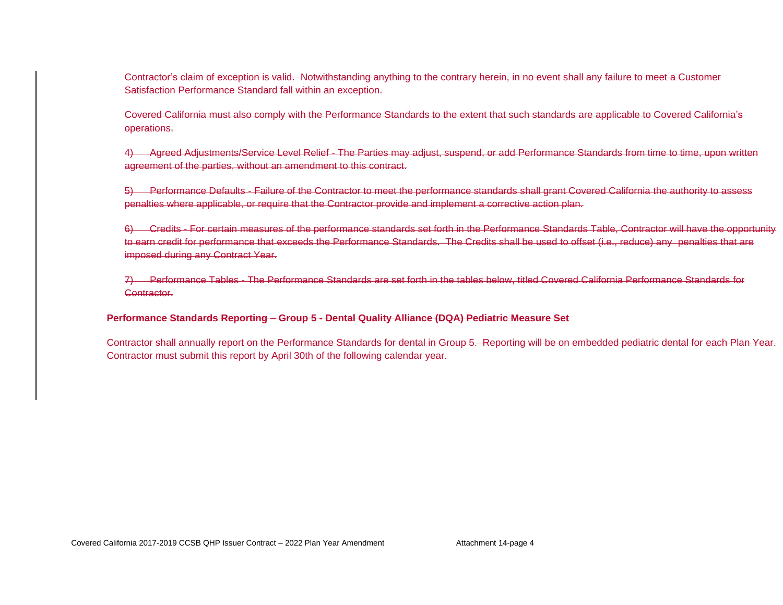Contractor's claim of exception is valid. Notwithstanding anything to the contrary herein, in no event shall any failure to meet a Customer Satisfaction Performance Standard fall within an exception.

Covered California must also comply with the Performance Standards to the extent that such standards are applicable to Covered California's operations.

4) Agreed Adjustments/Service Level Relief - The Parties may adjust, suspend, or add Performance Standards from time to time, upon written agreement of the parties, without an amendment to this contract.

5) Performance Defaults - Failure of the Contractor to meet the performance standards shall grant Covered California the authority to assess penalties where applicable, or require that the Contractor provide and implement a corrective action plan.

6) Credits - For certain measures of the performance standards set forth in the Performance Standards Table, Contractor will have the opportunity to earn credit for performance that exceeds the Performance Standards. The Credits shall be used to offset (i.e., reduce) any penalties that are imposed during any Contract Year.

7) Performance Tables - The Performance Standards are set forth in the tables below, titled Covered California Performance Standards for Contractor.

### **Performance Standards Reporting – Group 5 - Dental Quality Alliance (DQA) Pediatric Measure Set**

Contractor shall annually report on the Performance Standards for dental in Group 5. Reporting will be on embedded pediatric dental for each Plan Year. Contractor must submit this report by April 30th of the following calendar year.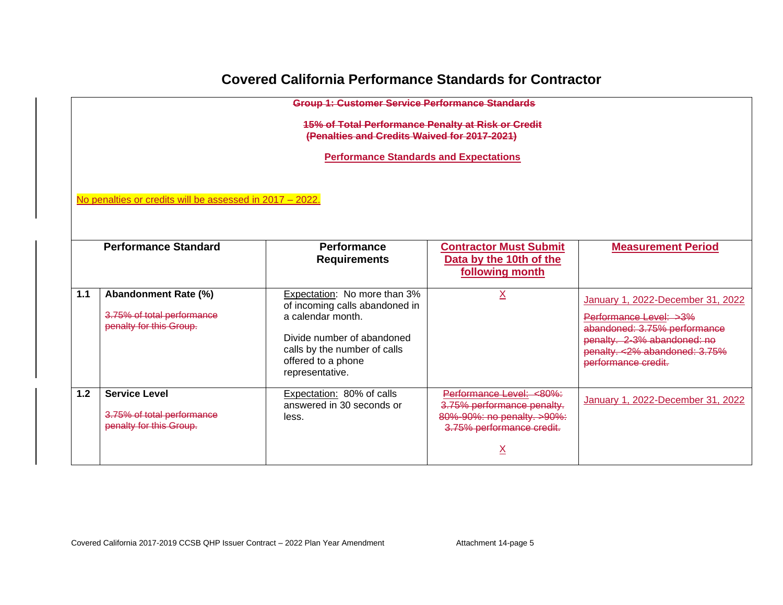# **Covered California Performance Standards for Contractor**

|                         | <b>Group 1: Customer Service Performance Standards</b>                                                    |                                                                                     |                                                                                                                   |                                                                                                                      |  |  |  |
|-------------------------|-----------------------------------------------------------------------------------------------------------|-------------------------------------------------------------------------------------|-------------------------------------------------------------------------------------------------------------------|----------------------------------------------------------------------------------------------------------------------|--|--|--|
|                         | <b>15% of Total Performance Penalty at Risk or Credit</b><br>(Penalties and Credits Waived for 2017-2021) |                                                                                     |                                                                                                                   |                                                                                                                      |  |  |  |
|                         |                                                                                                           | <b>Performance Standards and Expectations</b>                                       |                                                                                                                   |                                                                                                                      |  |  |  |
|                         |                                                                                                           |                                                                                     |                                                                                                                   |                                                                                                                      |  |  |  |
|                         | No penalties or credits will be assessed in 2017 - 2022.                                                  |                                                                                     |                                                                                                                   |                                                                                                                      |  |  |  |
|                         |                                                                                                           |                                                                                     |                                                                                                                   |                                                                                                                      |  |  |  |
|                         |                                                                                                           |                                                                                     |                                                                                                                   |                                                                                                                      |  |  |  |
|                         | <b>Performance Standard</b>                                                                               | <b>Performance</b><br><b>Requirements</b>                                           | <b>Contractor Must Submit</b><br>Data by the 10th of the                                                          | <b>Measurement Period</b>                                                                                            |  |  |  |
|                         |                                                                                                           |                                                                                     | following month                                                                                                   |                                                                                                                      |  |  |  |
| 1.1                     | Abandonment Rate (%)<br>3.75% of total performance                                                        | Expectation: No more than 3%<br>of incoming calls abandoned in<br>a calendar month. |                                                                                                                   | January 1, 2022-December 31, 2022<br>Performance Level: >3%                                                          |  |  |  |
| penalty for this Group. |                                                                                                           | Divide number of abandoned<br>calls by the number of calls<br>offered to a phone    |                                                                                                                   | abandoned: 3.75% performance<br>penalty. 2-3% abandoned: no<br>penalty. < 2% abandoned: 3.75%<br>performance credit. |  |  |  |
|                         |                                                                                                           | representative.                                                                     |                                                                                                                   |                                                                                                                      |  |  |  |
| 1.2                     | <b>Service Level</b><br>3.75% of total performance<br>penalty for this Group.                             | Expectation: 80% of calls<br>answered in 30 seconds or<br>less.                     | Performance Level: <80%:<br>3.75% performance penalty.<br>80%-90%: no penalty. >90%:<br>3.75% performance credit. | January 1, 2022-December 31, 2022                                                                                    |  |  |  |
|                         |                                                                                                           |                                                                                     |                                                                                                                   |                                                                                                                      |  |  |  |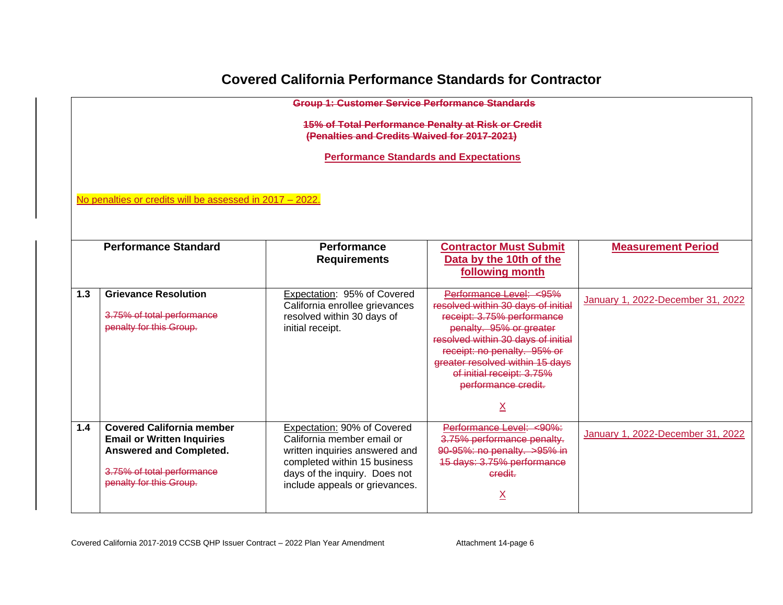# **Covered California Performance Standards for Contractor**

|     | <b>Group 1: Customer Service Performance Standards</b>                                                                                                                               |                                                                                                                                                                                                |                                                                                                                                                                                                                                                                                                       |                                   |  |  |  |  |
|-----|--------------------------------------------------------------------------------------------------------------------------------------------------------------------------------------|------------------------------------------------------------------------------------------------------------------------------------------------------------------------------------------------|-------------------------------------------------------------------------------------------------------------------------------------------------------------------------------------------------------------------------------------------------------------------------------------------------------|-----------------------------------|--|--|--|--|
|     | 15% of Total Performance Penalty at Risk or Credit<br>(Penalties and Credits Waived for 2017-2021)                                                                                   |                                                                                                                                                                                                |                                                                                                                                                                                                                                                                                                       |                                   |  |  |  |  |
|     |                                                                                                                                                                                      | <b>Performance Standards and Expectations</b>                                                                                                                                                  |                                                                                                                                                                                                                                                                                                       |                                   |  |  |  |  |
|     |                                                                                                                                                                                      |                                                                                                                                                                                                |                                                                                                                                                                                                                                                                                                       |                                   |  |  |  |  |
|     | No penalties or credits will be assessed in 2017 - 2022.                                                                                                                             |                                                                                                                                                                                                |                                                                                                                                                                                                                                                                                                       |                                   |  |  |  |  |
|     |                                                                                                                                                                                      |                                                                                                                                                                                                |                                                                                                                                                                                                                                                                                                       |                                   |  |  |  |  |
|     | <b>Performance Standard</b><br><b>Performance</b><br><b>Contractor Must Submit</b><br><b>Measurement Period</b><br>Data by the 10th of the<br><b>Requirements</b><br>following month |                                                                                                                                                                                                |                                                                                                                                                                                                                                                                                                       |                                   |  |  |  |  |
| 1.3 | <b>Grievance Resolution</b><br>3.75% of total performance<br>penalty for this Group.                                                                                                 | Expectation: 95% of Covered<br>California enrollee grievances<br>resolved within 30 days of<br>initial receipt.                                                                                | Performance Level: <95%<br>resolved within 30 days of initial<br>receipt: 3.75% performance<br>penalty. 95% or greater<br>resolved within 30 days of initial<br>receipt: no penalty. 95% or<br>greater resolved within 15 days<br>of initial receipt: 3.75%<br>performance credit.<br>$\underline{X}$ | January 1, 2022-December 31, 2022 |  |  |  |  |
| 1.4 | <b>Covered California member</b><br><b>Email or Written Inquiries</b><br>Answered and Completed.<br>3.75% of total performance<br>penalty for this Group.                            | Expectation: 90% of Covered<br>California member email or<br>written inquiries answered and<br>completed within 15 business<br>days of the inquiry. Does not<br>include appeals or grievances. | Performance Level: <90%:<br>3.75% performance penalty.<br>90-95%: no penalty. >95% in<br>15 days: 3.75% performance<br>credit.<br><u>X</u>                                                                                                                                                            | January 1, 2022-December 31, 2022 |  |  |  |  |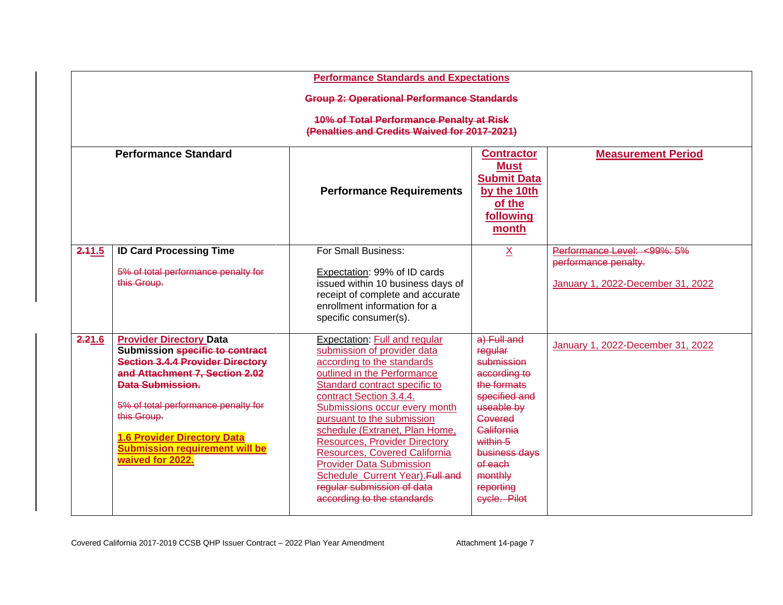|        | <b>Performance Standards and Expectations</b>                                                                                                                                                                                                                                                                                      |                                                                                                                                                                                                                                                                                                                                                                                                                                                                                                    |                                                                                                                                                                                                             |                                                                                          |  |  |  |  |
|--------|------------------------------------------------------------------------------------------------------------------------------------------------------------------------------------------------------------------------------------------------------------------------------------------------------------------------------------|----------------------------------------------------------------------------------------------------------------------------------------------------------------------------------------------------------------------------------------------------------------------------------------------------------------------------------------------------------------------------------------------------------------------------------------------------------------------------------------------------|-------------------------------------------------------------------------------------------------------------------------------------------------------------------------------------------------------------|------------------------------------------------------------------------------------------|--|--|--|--|
|        | <b>Group 2: Operational Performance Standards</b>                                                                                                                                                                                                                                                                                  |                                                                                                                                                                                                                                                                                                                                                                                                                                                                                                    |                                                                                                                                                                                                             |                                                                                          |  |  |  |  |
|        | <b>10% of Total Performance Penalty at Risk</b><br>(Penalties and Credits Waived for 2017-2021)                                                                                                                                                                                                                                    |                                                                                                                                                                                                                                                                                                                                                                                                                                                                                                    |                                                                                                                                                                                                             |                                                                                          |  |  |  |  |
|        | <b>Performance Standard</b>                                                                                                                                                                                                                                                                                                        | <b>Performance Requirements</b>                                                                                                                                                                                                                                                                                                                                                                                                                                                                    | <b>Contractor</b><br><b>Must</b><br><b>Submit Data</b><br>by the 10th<br>of the<br>following<br>month                                                                                                       | <b>Measurement Period</b>                                                                |  |  |  |  |
| 2.41.5 | <b>ID Card Processing Time</b><br>5% of total performance penalty for<br>this Group.                                                                                                                                                                                                                                               | For Small Business:<br>Expectation: 99% of ID cards<br>issued within 10 business days of<br>receipt of complete and accurate<br>enrollment information for a<br>specific consumer(s).                                                                                                                                                                                                                                                                                                              | $\underline{X}$                                                                                                                                                                                             | Performance Level: <99%: 5%<br>performance penalty.<br>January 1, 2022-December 31, 2022 |  |  |  |  |
| 2.21.6 | <b>Provider Directory Data</b><br>Submission specific to contract<br><b>Section 3.4.4 Provider Directory</b><br>and Attachment 7, Section 2.02<br><b>Data Submission.</b><br>5% of total performance penalty for<br>this Group.<br><b>1.6 Provider Directory Data</b><br><b>Submission requirement will be</b><br>waived for 2022. | Expectation: Full and regular<br>submission of provider data<br>according to the standards<br>outlined in the Performance<br>Standard contract specific to<br>contract Section 3.4.4.<br>Submissions occur every month<br>pursuant to the submission<br>schedule (Extranet, Plan Home,<br><b>Resources, Provider Directory</b><br>Resources, Covered California<br><b>Provider Data Submission</b><br>Schedule_Current Year). Full and<br>regular submission of data<br>according to the standards | a) Full and<br>regular<br>submission<br>according to<br>the formats<br>specified and<br>useable by<br>Covered<br>California<br>within 5<br>business days<br>of each<br>monthly<br>reporting<br>eyele. Pilot | January 1, 2022-December 31, 2022                                                        |  |  |  |  |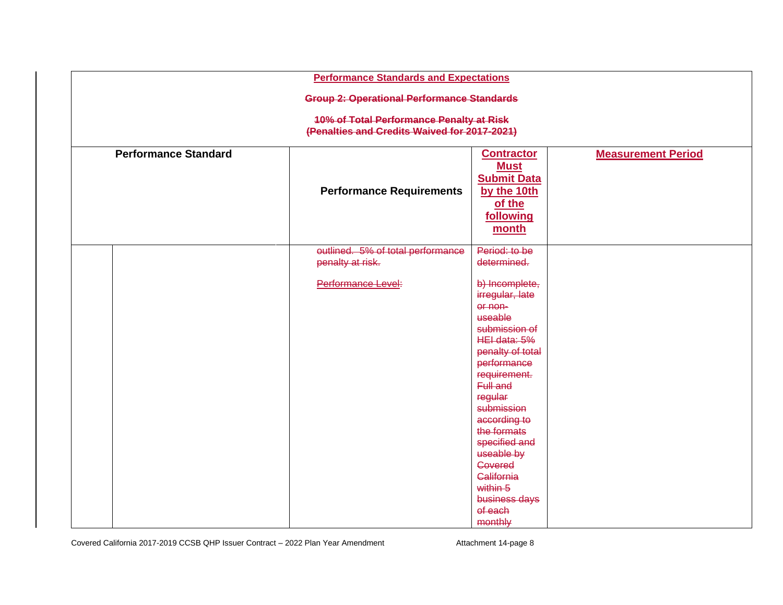|                             | <b>Performance Standards and Expectations</b>                                                   |                                                                                                                                                                                                                                                                                                                                                            |                           |  |  |  |  |  |  |
|-----------------------------|-------------------------------------------------------------------------------------------------|------------------------------------------------------------------------------------------------------------------------------------------------------------------------------------------------------------------------------------------------------------------------------------------------------------------------------------------------------------|---------------------------|--|--|--|--|--|--|
|                             | <b>Group 2: Operational Performance Standards</b>                                               |                                                                                                                                                                                                                                                                                                                                                            |                           |  |  |  |  |  |  |
|                             | <b>10% of Total Performance Penalty at Risk</b><br>(Penalties and Credits Waived for 2017-2021) |                                                                                                                                                                                                                                                                                                                                                            |                           |  |  |  |  |  |  |
| <b>Performance Standard</b> | <b>Performance Requirements</b>                                                                 | <b>Contractor</b><br><b>Must</b><br><b>Submit Data</b><br>by the 10th<br>of the<br>following<br>month                                                                                                                                                                                                                                                      | <b>Measurement Period</b> |  |  |  |  |  |  |
|                             | outlined. 5% of total performance<br>penalty at risk.<br>Performance Level:                     | Period: to be<br>determined.<br>b) Incomplete,<br>irregular, late<br>or non-<br>useable<br>submission of<br>HEI data: 5%<br>penalty of total<br>performance<br>requirement.<br>Full and<br>regular<br>submission<br>according to<br>the formats<br>specified and<br>useable by<br>Covered<br>California<br>within 5<br>business days<br>of each<br>monthly |                           |  |  |  |  |  |  |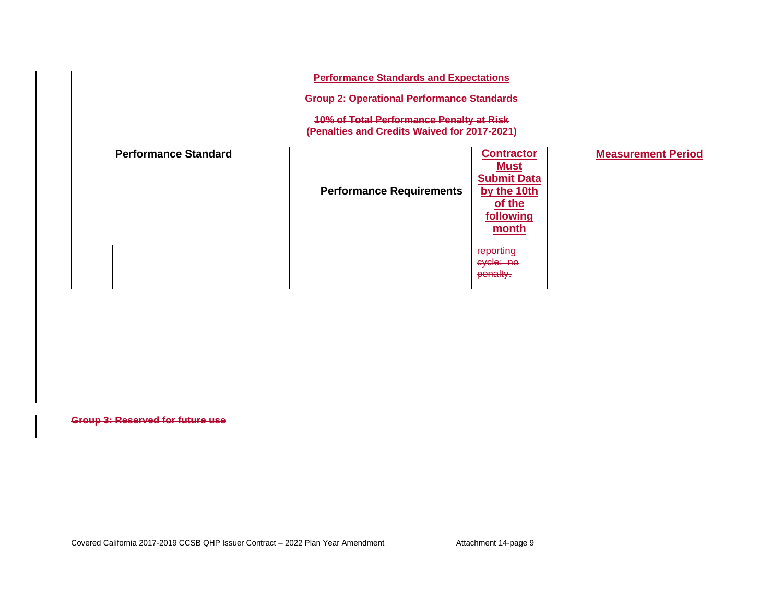| <b>Performance Standards and Expectations</b> |                                                                                                 |                                                                                                       |                           |  |  |  |  |  |
|-----------------------------------------------|-------------------------------------------------------------------------------------------------|-------------------------------------------------------------------------------------------------------|---------------------------|--|--|--|--|--|
|                                               | <b>Group 2: Operational Performance Standards</b>                                               |                                                                                                       |                           |  |  |  |  |  |
|                                               | <b>10% of Total Performance Penalty at Risk</b><br>(Penalties and Credits Waived for 2017-2021) |                                                                                                       |                           |  |  |  |  |  |
| <b>Performance Standard</b>                   | <b>Performance Requirements</b>                                                                 | <b>Contractor</b><br><b>Must</b><br><b>Submit Data</b><br>by the 10th<br>of the<br>following<br>month | <b>Measurement Period</b> |  |  |  |  |  |
|                                               |                                                                                                 | reporting<br>cycle: no<br>penalty.                                                                    |                           |  |  |  |  |  |

**Group 3: Reserved for future use**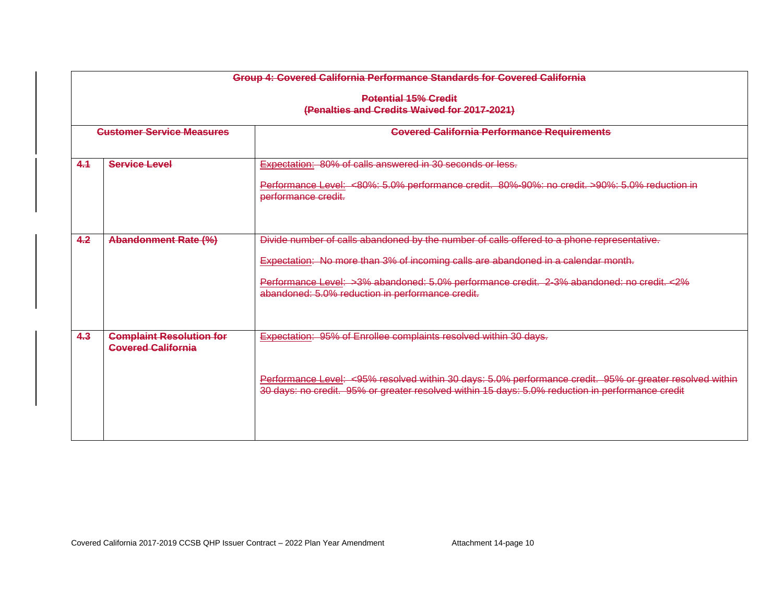|     | Group 4: Covered California Performance Standards for Covered California    |                                                                                                                                                                                                              |  |  |  |  |
|-----|-----------------------------------------------------------------------------|--------------------------------------------------------------------------------------------------------------------------------------------------------------------------------------------------------------|--|--|--|--|
|     | <b>Potential 15% Credit</b><br>(Penalties and Credits Waived for 2017-2021) |                                                                                                                                                                                                              |  |  |  |  |
|     | <b>Customer Service Measures</b>                                            | <b>Covered California Performance Requirements</b>                                                                                                                                                           |  |  |  |  |
| 4.1 | <b>Service Level</b>                                                        | Expectation: 80% of calls answered in 30 seconds or less.<br>Performance Level: <80%: 5.0% performance credit. 80%-90%: no credit. >90%: 5.0% reduction in<br>performance credit.                            |  |  |  |  |
| 4.2 | <b>Abandonment Rate (%)</b>                                                 | Divide number of calls abandoned by the number of calls offered to a phone representative.<br>Expectation: No more than 3% of incoming calls are abandoned in a calendar month.                              |  |  |  |  |
|     |                                                                             | Performance Level: >3% abandoned: 5.0% performance credit. 2-3% abandoned: no credit. < 2%<br>abandoned: 5.0% reduction in performance credit.                                                               |  |  |  |  |
| 4.3 | <b>Complaint Resolution for</b><br><b>Covered California</b>                | <b>Expectation: 95% of Enrollee complaints resolved within 30 days.</b>                                                                                                                                      |  |  |  |  |
|     |                                                                             | Performance Level: <95% resolved within 30 days: 5.0% performance credit. 95% or greater resolved within<br>30 days: no credit. 95% or greater resolved within 15 days: 5.0% reduction in performance credit |  |  |  |  |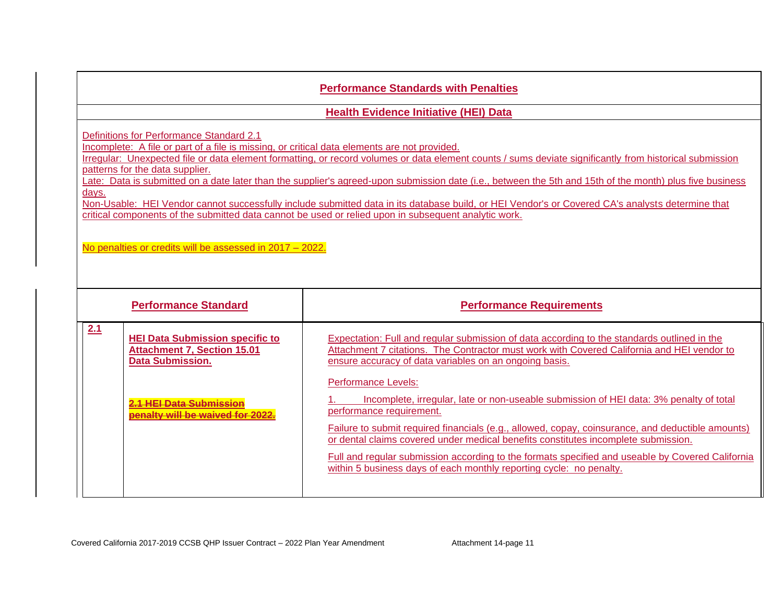## **Performance Standards with Penalties**

**Health Evidence Initiative (HEI) Data**

Definitions for Performance Standard 2.1

Incomplete: A file or part of a file is missing, or critical data elements are not provided.

Irregular: Unexpected file or data element formatting, or record volumes or data element counts / sums deviate significantly from historical submission patterns for the data supplier.

Late: Data is submitted on a date later than the supplier's agreed-upon submission date (i.e., between the 5th and 15th of the month) plus five business days.

Non-Usable: HEI Vendor cannot successfully include submitted data in its database build, or HEI Vendor's or Covered CA's analysts determine that critical components of the submitted data cannot be used or relied upon in subsequent analytic work.

No penalties or credits will be assessed in 2017 – 2022.

| <b>Performance Standard</b>                                                                                    | <b>Performance Requirements</b>                                                                                                                                                                                                                                                                                                                                                                                                                                                                                        |
|----------------------------------------------------------------------------------------------------------------|------------------------------------------------------------------------------------------------------------------------------------------------------------------------------------------------------------------------------------------------------------------------------------------------------------------------------------------------------------------------------------------------------------------------------------------------------------------------------------------------------------------------|
| 2.1<br><b>HEI Data Submission specific to</b><br><b>Attachment 7, Section 15.01</b><br><b>Data Submission.</b> | Expectation: Full and regular submission of data according to the standards outlined in the<br>Attachment 7 citations. The Contractor must work with Covered California and HEI vendor to<br>ensure accuracy of data variables on an ongoing basis.                                                                                                                                                                                                                                                                    |
| <u>IEI Data Submission</u><br>alty will be waived for 2022                                                     | <b>Performance Levels:</b><br>Incomplete, irregular, late or non-useable submission of HEI data: 3% penalty of total<br>performance requirement.<br>Failure to submit required financials (e.g., allowed, copay, coinsurance, and deductible amounts)<br>or dental claims covered under medical benefits constitutes incomplete submission.<br>Full and regular submission according to the formats specified and useable by Covered California<br>within 5 business days of each monthly reporting cycle: no penalty. |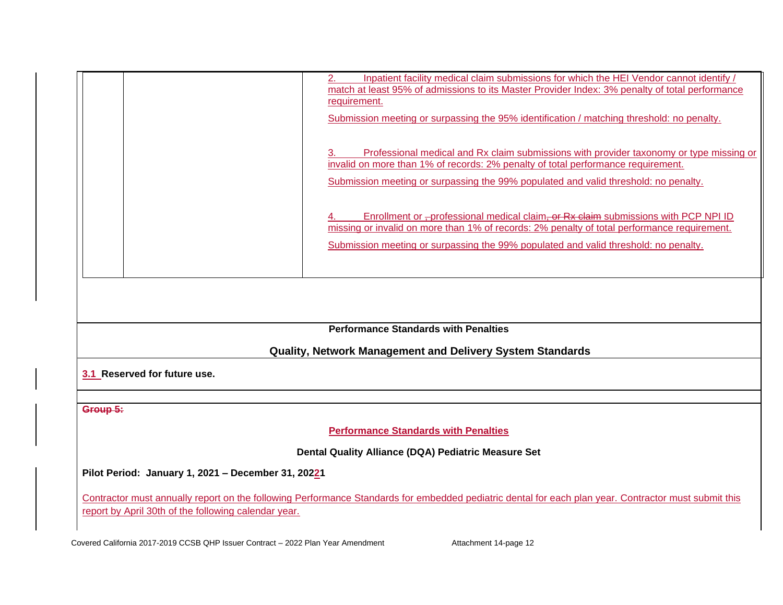|                                                      | Inpatient facility medical claim submissions for which the HEI Vendor cannot identify /<br>2.                                                        |  |  |  |  |  |
|------------------------------------------------------|------------------------------------------------------------------------------------------------------------------------------------------------------|--|--|--|--|--|
|                                                      | match at least 95% of admissions to its Master Provider Index: 3% penalty of total performance<br>requirement.                                       |  |  |  |  |  |
|                                                      |                                                                                                                                                      |  |  |  |  |  |
|                                                      | Submission meeting or surpassing the 95% identification / matching threshold: no penalty.                                                            |  |  |  |  |  |
|                                                      |                                                                                                                                                      |  |  |  |  |  |
|                                                      | Professional medical and Rx claim submissions with provider taxonomy or type missing or<br>З.                                                        |  |  |  |  |  |
|                                                      | invalid on more than 1% of records: 2% penalty of total performance requirement.                                                                     |  |  |  |  |  |
|                                                      | Submission meeting or surpassing the 99% populated and valid threshold: no penalty.                                                                  |  |  |  |  |  |
|                                                      |                                                                                                                                                      |  |  |  |  |  |
|                                                      |                                                                                                                                                      |  |  |  |  |  |
|                                                      | Enrollment or -professional medical claim, or Rx claim submissions with PCP NPI ID                                                                   |  |  |  |  |  |
|                                                      | missing or invalid on more than 1% of records: 2% penalty of total performance requirement.                                                          |  |  |  |  |  |
|                                                      | Submission meeting or surpassing the 99% populated and valid threshold: no penalty.                                                                  |  |  |  |  |  |
|                                                      |                                                                                                                                                      |  |  |  |  |  |
|                                                      |                                                                                                                                                      |  |  |  |  |  |
|                                                      |                                                                                                                                                      |  |  |  |  |  |
|                                                      |                                                                                                                                                      |  |  |  |  |  |
|                                                      |                                                                                                                                                      |  |  |  |  |  |
|                                                      | <b>Performance Standards with Penalties</b>                                                                                                          |  |  |  |  |  |
|                                                      |                                                                                                                                                      |  |  |  |  |  |
|                                                      | <b>Quality, Network Management and Delivery System Standards</b>                                                                                     |  |  |  |  |  |
|                                                      |                                                                                                                                                      |  |  |  |  |  |
| 3.1 Reserved for future use.                         |                                                                                                                                                      |  |  |  |  |  |
|                                                      |                                                                                                                                                      |  |  |  |  |  |
| Group 5:                                             |                                                                                                                                                      |  |  |  |  |  |
|                                                      |                                                                                                                                                      |  |  |  |  |  |
|                                                      | <b>Performance Standards with Penalties</b>                                                                                                          |  |  |  |  |  |
|                                                      |                                                                                                                                                      |  |  |  |  |  |
| Dental Quality Alliance (DQA) Pediatric Measure Set  |                                                                                                                                                      |  |  |  |  |  |
|                                                      |                                                                                                                                                      |  |  |  |  |  |
| Pilot Period: January 1, 2021 - December 31, 20221   |                                                                                                                                                      |  |  |  |  |  |
|                                                      |                                                                                                                                                      |  |  |  |  |  |
|                                                      | Contractor must annually report on the following Performance Standards for embedded pediatric dental for each plan year. Contractor must submit this |  |  |  |  |  |
| report by April 30th of the following calendar year. |                                                                                                                                                      |  |  |  |  |  |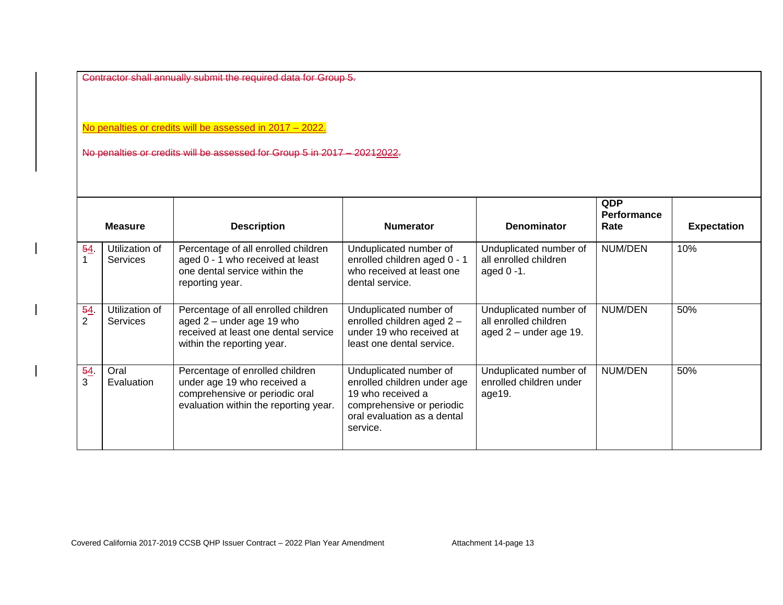Contractor shall annually submit the required data for Group 5.

No penalties or credits will be assessed in 2017 – 2022.

No penalties or credits will be assessed for Group 5 in 2017 – 20212022.

|                      | <b>Measure</b>                    | <b>Description</b>                                                                                                                        | <b>Numerator</b>                                                                                                                                   | <b>Denominator</b>                                                          | <b>QDP</b><br><b>Performance</b><br>Rate | <b>Expectation</b> |
|----------------------|-----------------------------------|-------------------------------------------------------------------------------------------------------------------------------------------|----------------------------------------------------------------------------------------------------------------------------------------------------|-----------------------------------------------------------------------------|------------------------------------------|--------------------|
| 54.                  | Utilization of<br><b>Services</b> | Percentage of all enrolled children<br>aged 0 - 1 who received at least<br>one dental service within the<br>reporting year.               | Unduplicated number of<br>enrolled children aged 0 - 1<br>who received at least one<br>dental service.                                             | Unduplicated number of<br>all enrolled children<br>aged $0 - 1$ .           | NUM/DEN                                  | 10%                |
| 54<br>$\overline{2}$ | Utilization of<br><b>Services</b> | Percentage of all enrolled children<br>aged $2$ – under age 19 who<br>received at least one dental service<br>within the reporting year.  | Unduplicated number of<br>enrolled children aged 2 -<br>under 19 who received at<br>least one dental service.                                      | Unduplicated number of<br>all enrolled children<br>aged $2$ – under age 19. | <b>NUM/DEN</b>                           | 50%                |
| 54<br>3              | Oral<br>Evaluation                | Percentage of enrolled children<br>under age 19 who received a<br>comprehensive or periodic oral<br>evaluation within the reporting year. | Unduplicated number of<br>enrolled children under age<br>19 who received a<br>comprehensive or periodic<br>oral evaluation as a dental<br>service. | Unduplicated number of<br>enrolled children under<br>age19.                 | NUM/DEN                                  | 50%                |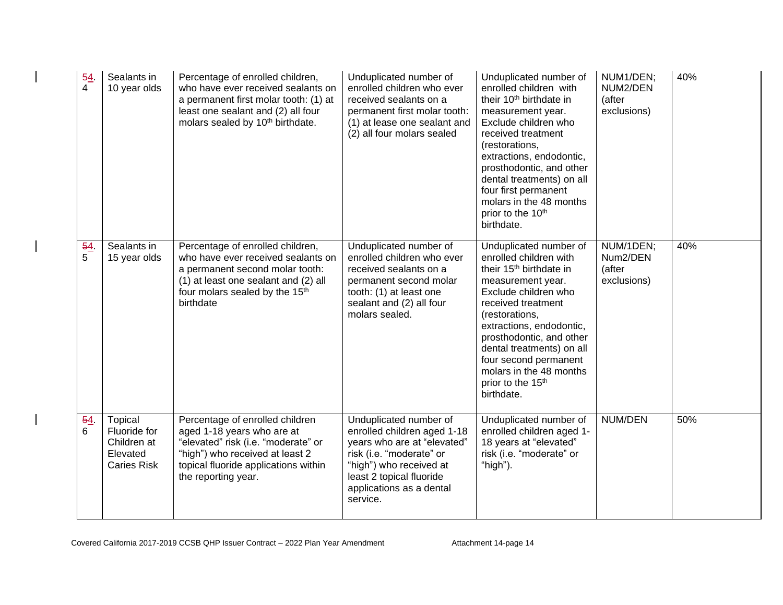| 54<br>$\overline{4}$ | Sealants in<br>10 year olds                                              | Percentage of enrolled children,<br>who have ever received sealants on<br>a permanent first molar tooth: (1) at<br>least one sealant and (2) all four<br>molars sealed by 10 <sup>th</sup> birthdate.  | Unduplicated number of<br>enrolled children who ever<br>received sealants on a<br>permanent first molar tooth:<br>(1) at lease one sealant and<br>(2) all four molars sealed                                    | Unduplicated number of<br>enrolled children with<br>their 10 <sup>th</sup> birthdate in<br>measurement year.<br>Exclude children who<br>received treatment<br>(restorations,<br>extractions, endodontic,<br>prosthodontic, and other<br>dental treatments) on all<br>four first permanent<br>molars in the 48 months<br>prior to the 10th<br>birthdate.              | NUM1/DEN;<br>NUM2/DEN<br>(after<br>exclusions) | 40% |
|----------------------|--------------------------------------------------------------------------|--------------------------------------------------------------------------------------------------------------------------------------------------------------------------------------------------------|-----------------------------------------------------------------------------------------------------------------------------------------------------------------------------------------------------------------|----------------------------------------------------------------------------------------------------------------------------------------------------------------------------------------------------------------------------------------------------------------------------------------------------------------------------------------------------------------------|------------------------------------------------|-----|
| 54<br>5              | Sealants in<br>15 year olds                                              | Percentage of enrolled children,<br>who have ever received sealants on<br>a permanent second molar tooth:<br>(1) at least one sealant and (2) all<br>four molars sealed by the 15th<br>birthdate       | Unduplicated number of<br>enrolled children who ever<br>received sealants on a<br>permanent second molar<br>tooth: (1) at least one<br>sealant and (2) all four<br>molars sealed.                               | Unduplicated number of<br>enrolled children with<br>their 15 <sup>th</sup> birthdate in<br>measurement year.<br>Exclude children who<br>received treatment<br>(restorations,<br>extractions, endodontic,<br>prosthodontic, and other<br>dental treatments) on all<br>four second permanent<br>molars in the 48 months<br>prior to the 15 <sup>th</sup><br>birthdate. | NUM/1DEN;<br>Num2/DEN<br>(after<br>exclusions) | 40% |
| 54<br>6              | Topical<br>Fluoride for<br>Children at<br>Elevated<br><b>Caries Risk</b> | Percentage of enrolled children<br>aged 1-18 years who are at<br>"elevated" risk (i.e. "moderate" or<br>"high") who received at least 2<br>topical fluoride applications within<br>the reporting year. | Unduplicated number of<br>enrolled children aged 1-18<br>years who are at "elevated"<br>risk (i.e. "moderate" or<br>"high") who received at<br>least 2 topical fluoride<br>applications as a dental<br>service. | Unduplicated number of<br>enrolled children aged 1-<br>18 years at "elevated"<br>risk (i.e. "moderate" or<br>"high").                                                                                                                                                                                                                                                | NUM/DEN                                        | 50% |